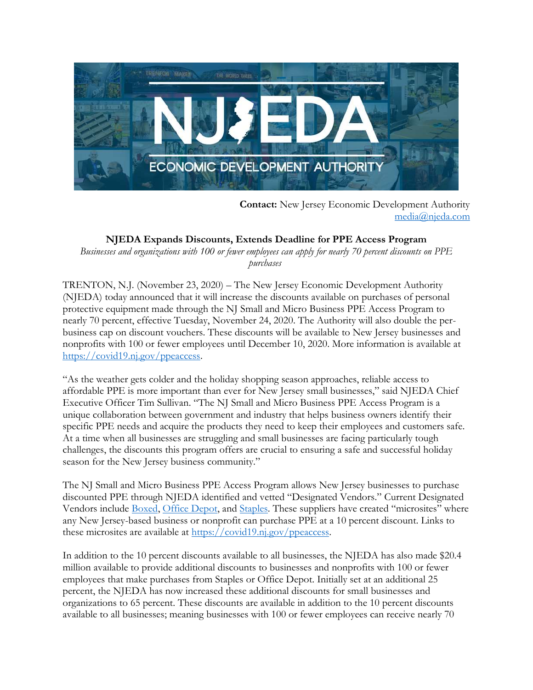

**Contact:** New Jersey Economic Development Authority [media@njeda.com](mailto:media@njeda.com)

## **NJEDA Expands Discounts, Extends Deadline for PPE Access Program**

*Businesses and organizations with 100 or fewer employees can apply for nearly 70 percent discounts on PPE purchases*

TRENTON, N.J. (November 23, 2020) – The New Jersey Economic Development Authority (NJEDA) today announced that it will increase the discounts available on purchases of personal protective equipment made through the NJ Small and Micro Business PPE Access Program to nearly 70 percent, effective Tuesday, November 24, 2020. The Authority will also double the perbusiness cap on discount vouchers. These discounts will be available to New Jersey businesses and nonprofits with 100 or fewer employees until December 10, 2020. More information is available at [https://covid19.nj.gov/ppeaccess.](https://ppe.covid19.nj.gov/)

"As the weather gets colder and the holiday shopping season approaches, reliable access to affordable PPE is more important than ever for New Jersey small businesses," said NJEDA Chief Executive Officer Tim Sullivan. "The NJ Small and Micro Business PPE Access Program is a unique collaboration between government and industry that helps business owners identify their specific PPE needs and acquire the products they need to keep their employees and customers safe. At a time when all businesses are struggling and small businesses are facing particularly tough challenges, the discounts this program offers are crucial to ensuring a safe and successful holiday season for the New Jersey business community."

The NJ Small and Micro Business PPE Access Program allows New Jersey businesses to purchase discounted PPE through NJEDA identified and vetted "Designated Vendors." Current Designated Vendors include [Boxed,](https://www.boxed.com/) [Office Depot,](https://www.officedepot.com/) and [Staples](https://www.staples.com/). These suppliers have created "microsites" where any New Jersey-based business or nonprofit can purchase PPE at a 10 percent discount. Links to these microsites are available at [https://covid19.nj.gov/ppeaccess.](https://covid19.nj.gov/ppeaccess)

In addition to the 10 percent discounts available to all businesses, the NJEDA has also made \$20.4 million available to provide additional discounts to businesses and nonprofits with 100 or fewer employees that make purchases from Staples or Office Depot. Initially set at an additional 25 percent, the NJEDA has now increased these additional discounts for small businesses and organizations to 65 percent. These discounts are available in addition to the 10 percent discounts available to all businesses; meaning businesses with 100 or fewer employees can receive nearly 70